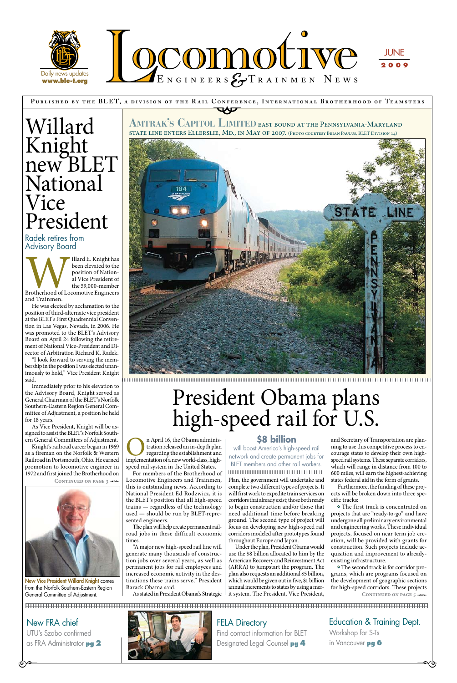### **P ublished by the BLE T, a div ision of the R a il Conference, Internationa l Brotherhood of Te a msters** CONFERE



Find contact information for BLET Designated Legal Counsel **pg 4** 

Education & Training Dept. Workshop for S-Ts in Vancouver **pg 6** 

 $\overline{\phantom{a}}$ 

Illard E. Knight has<br>
been elevated to the<br>
position of Nation-<br>
al Vice President of<br>
Brotherhood of Locomotive Engineers<br>
and Trainmen been elevated to the position of National Vice President of the 59,000-member and Trainmen.

## Willard Knight new BLET National Vice President

Radek retires from Advisory Board

New FRA chief UTU's Szabo confirmed as FRA Administrator **pg 2** 

 $\Theta^{\bullet-}$ 



### **FELA Directory**

He was elected by acclamation to the position of third-alternate vice president at the BLET's First Quadrennial Convention in Las Vegas, Nevada, in 2006. He was promoted to the BLET's Advisory Board on April 24 following the retirement of National Vice-President and Director of Arbitration Richard K. Radek.

**Amtrak's Capitol Limited** east bound at the Pennsylvania-Maryland LINE ENTERS ELLERSLIE, MD., IN MAY OF 2007. (Photo courtesy Brian Paulus, BLET Division 14)



"I look forward to serving the membership in the position I was elected unanimously to hold," Vice President Knight said.

> **On April 16, the Obama administration released an in-depth plan regarding the establishment and implementation of a new world-class, high**tration released an in-depth plan regarding the establishment and speed rail system in the United States.

Immediately prior to his elevation to the Advisory Board, Knight served as General Chairman of the BLET's Norfolk Southern-Eastern Region General Committee of Adjustment, a position he held for 18 years.

As Vice President, Knight will be assigned to assist the BLET's Norfolk Southern General Committees of Adjustment.

Knight's railroad career began in 1969 as a fireman on the Norfolk & Western Railroad in Portsmouth, Ohio. He earned promotion to locomotive engineer in 1972 and first joined the Brotherhood on

CONTINUED ON PAGE 3  $\rightarrow$ 



New Vice President Willard Knight comes from the Norfolk Southern-Eastern Region General Committee of Adjustment.

**•** The second track is for corridor programs, which are programs focused on the development of geographic sections for high-speed corridors. These projects CONTINUED ON PAGE  $5 \rightarrow \rightarrow$ 

For members of the Brotherhood of Locomotive Engineers and Trainmen, this is outstanding news. According to National President Ed Rodzwicz, it is the BLET's position that all high-speed trains — regardless of the technology used — should be run by BLET-represented engineers.

The plan will help create permanent railroad jobs in these difficult economic times.

"A major new high-speed rail line will generate many thousands of construction jobs over several years, as well as permanent jobs for rail employees and increased economic activity in the destinations these trains serve," President Barack Obama said.

As stated in President Obama's Strategic

Plan, the government will undertake and complete two different types of projects. It will first work to expedite train services on corridors that already exist; those both ready to begin construction and/or those that need additional time before breaking ground. The second type of project will focus on developing new high-speed rail corridors modeled after prototypes found throughout Europe and Japan. Under the plan, President Obama would use the \$8 billion allocated to him by the American Recovery and Reinvestment Act (ARRA) to jumpstart the program. The plan also requests an additional \$5 billion, which would be given out in five, \$1 billion annual increments to states by using a merit system. The President, Vice President,

and Secretary of Transportation are planning to use this competitive process to encourage states to develop their own highspeed rail systems. These separate corridors, which will range in distance from 100 to 600 miles, will earn the highest-achieving states federal aid in the form of grants.

Furthermore, the funding of these projects will be broken down into three specific tracks:

**•** The first track is concentrated on projects that are "ready-to-go" and have undergone all preliminary environmental and engineering works. These individual projects, focused on near term job creation, will be provided with grants for construction. Such projects include acquisition and improvement to alreadyexisting infrastructure.

## President Obama plans high-speed rail for U.S.

#### **\$8 billion**

will boost America's high-speed rail network and create permanent jobs for BLET members and other rail workers.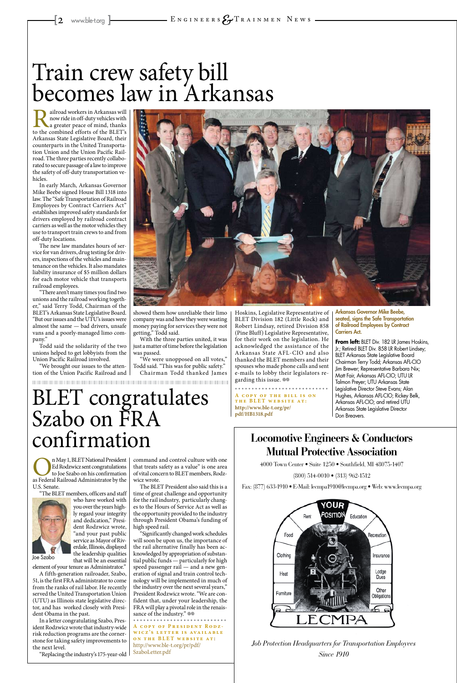### **Locomotive Engineers & Conductors Mutual Protective Association**

4000 Town Center • Suite 1250 • Southfield, MI 48075-1407

(800) 514-0010 • (313) 962-1512

#### Fax: (877) 633-1910 • E-Mail: lecmpa1910@lecmpa.org • Web: www.lecmpa.org



n May 1, BLET National President Ed Rodzwicz sent congratulations to Joe Szabo on his confirmation as Federal Railroad Administrator by the Ed Rodzwicz sent congratulations to Joe Szabo on his confirmation U.S. Senate.

"The BLET members, officers and staff who have worked with

> *Job Protection Headquarters for Transportation Employees Since 1910*

you over the years highly regard your integrity and dedication," President Rodzwicz wrote, "and your past public service as Mayor of Riverdale, Illinois, displayed the leadership qualities that will be an essential

The BLET President also said this is a time of great challenge and opportunity for the rail industry, particularly changes to the Hours of Service Act as well as the opportunity provided to the industry through President Obama's funding of high speed rail. "Significantly changed work schedules will soon be upon us, the importance of the rail alternative finally has been acknowledged by appropriation of substantial public funds — particularly for high speed passenger rail — and a new generation of signal and train control technology will be implemented in much of the industry over the next several years," President Rodzwicz wrote. "We are confident that, under your leadership, the FRA will play a pivotal role in the renaissance of the industry."  $\otimes$ 

element of your tenure as Administrator."

A fifth-generation railroader, Szabo, 51, is the first FRA administrator to come from the ranks of rail labor. He recently served the United Transportation Union (UTU) as Illinois state legislative director, and has worked closely with President Obama in the past.

In a letter congratulating Szabo, President Rodzwicz wrote that industry-wide risk reduction programs are the cornerstone for taking safety improvements to the next level.

Hoskins, Legislative Representative of BLET Division 182 (Little Rock) and Robert Lindsay, retired Division 858 (Pine Bluff) Legislative Representative, for their work on the legislation. He acknowledged the assistance of the Arkansas State AFL-CIO and also thanked the BLET members and their spouses who made phone calls and sent e-mails to lobby their legislators regarding this issue.  $\circledast$ 

"Replacing the industry's 175-year-old

command and control culture with one that treats safety as a value" is one area of vital concern to BLET members, Rodzwicz wrote.

**A COPY OF THE BILL IS ON** THE BLET WEBSITE AT: **http://www.ble-t.org/pr/ pdf/HB1318.pdf**

Railroad workers in Arkansas will now ride in off-duty vehicles with a greater peace of mind, thanks to the combined efforts of the BLET's now ride in off-duty vehicles with a greater peace of mind, thanks Arkansas State Legislative Board, their counterparts in the United Transportation Union and the Union Pacific Railroad. The three parties recently collaborated to secure passage of a law to improve the safety of off-duty transportation vehicles.

> **A copy of President Rodz -** WICZ'S LETTER IS AVAILABLE **ON THE BLET WEBSITE AT:** http://www.ble-t.org/pr/pdf/ SzaboLetter.pdf

BLET congratulates Szabo on FRA confirmation

Joe Szabo

In early March, Arkansas Governor Mike Beebe signed House Bill 1318 into law. The "Safe Transportation of Railroad Employees by Contract Carriers Act" establishes improved safety standards for drivers employed by railroad contract carriers as well as the motor vehicles they use to transport train crews to and from off-duty locations.

The new law mandates hours of service for van drivers, drug testing for drivers, inspections of the vehicles and maintenance on the vehicles. It also mandates liability insurance of \$5 million dollars for each motor vehicle that transports railroad employees.

"There aren't many times you find two unions and the railroad working together," said Terry Todd, Chairman of the BLET's Arkansas State Legislative Board. "But our issues and the UTU's issues were almost the same — bad drivers, unsafe vans and a poorly-managed limo company."

Todd said the solidarity of the two unions helped to get lobbyists from the Union Pacific Railroad involved.

"We brought our issues to the attention of the Union Pacific Railroad and



showed them how unreliable their limo company was and how they were wasting money paying for services they were not getting," Todd said.

With the three parties united, it was just a matter of time before the legislation was passed.

"We were unopposed on all votes," Todd said. "This was for public safety." Chairman Todd thanked James

## Train crew safety bill becomes law in Arkansas

Arkansas Governor Mike Beebe, seated, signs the Safe Transportation of Railroad Employees by Contract Carriers Act.

**From left:** BLET Div. 182 LR James Hoskins, Jr.; Retired BLET Div. 858 LR Robert Lindsey; BLET Arkansas State Legislative Board Chairman Terry Todd; Arkansas AFL-CIO Jim Brewer; Representative Barbara Nix; Matt Fair, Arkansas AFL-CIO; UTU LR Talmon Preyer; UTU Arkansas State Legislative Director Steve Evans; Alan Hughes, Arkansas AFL-CIO; Rickey Belk, Arkansas AFL-CIO; and retired UTU Arkansas State Legislative Director Don Breavers.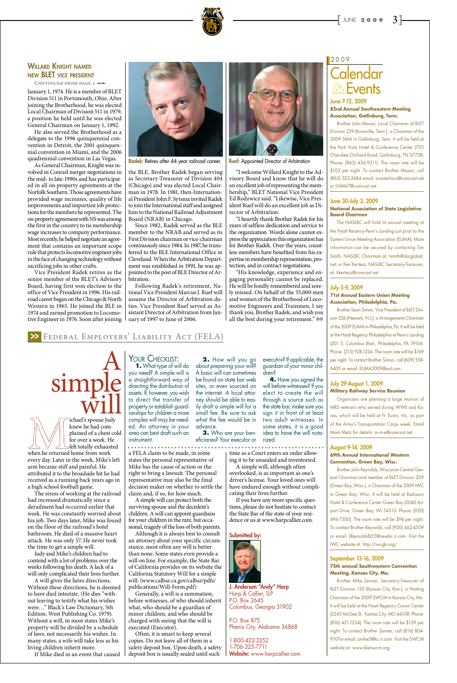### **Calendar Events** 2009 **&**

#### June 7-12, 2009 **82nd Annual Southeastern Meeting Association, Gatlinburg, Tenn.**

Brother John Mason, Local Chairman of BLET Division 239 (Knoxville, Tenn.), is Chairman of the 2009 SMA in Gatlinburg, Tenn. It will be held at the Park Vista Hotel & Conference Center (705 Cherokee Orchard Road, Gatlinburg, TN 37738; Phone: (865) 436-9211). The room rate will be \$103 per night. To contact Brother Mason, call (865) 523-2684 email: scooterloco@comcast.net or LNM67@comcast.net.

#### June 30-July 3, 2009 **National Association of State Legislative Board Chairmen**

The NASLBC will hold its annual meeting at the Hyatt Recency-Penn's Landing just prior to the Eastern Union Meeting Association (EUMA). More information can be secured by contacting Tim Smith, NASLBC Chairman at: tsmith@sbcglobal. net; or Ken Kertesz, NASLBC Secretary-Treasurer, at: kkertesz@comcast.net.

#### July 5-9, 2009 **71st Annual Eastern Union Meeting Association, Philadelphia, Pa.**

Brother Sean Simon, Vice President of BLET Division 226 (Newark, N.J.), is Arrangements Chairman of the 2009 EUMA in Philadelphia, Pa. It will be held at the Hyatt Regency Philadelphia at Penn's Landing (201 S. Columbus Blvd., Philadelphia, PA 19106: Phone: (215) 928-1234. The room rate will be \$169 per night. To contact Brother Simon, call (609) 558- 6405 or email: EUMA2009@aol.com.

#### July 29-August 1, 2009 **Military Railway Service Reunion**

Organizers are planning a large reunion of MRS veterans who served during WWII and Korea, which will be held at Ft. Eustis, Va., as part of the Army's Transportation Corps week. Email Mark Metz for details: m-m-e@comcast.net.

#### August 9-14, 2009 **69th Annual International Western Convention, Green Bay, Wisc.**

Brother John Reynolds, Wisconsin Central General Chairman and member of BLET Division 209 (Green Bay, Wisc.), is Chairman of the 2009 IWC in Green Bay, Wisc. It will be held at Radisson Hotel & Conference Center Green Bay (2040 Airport Drive, Green Bay, WI 54313: Phone: (920) 494-7300). The room rate will be \$94 per night. To contact Brother Reynolds, call (920) 462-4509 or email: JReynoldsBLET@newbc.rr.com. Visit the IWC website at: http://iwcgb.org/

#### September 13-16, 2009 **75th annual Southwestern Convention Meeting, Kansas City, Mo.**

Brother Mike Zenner, Secretary-Treasurer of BLET Division 130 (Kansas City, Kan.), is Hosting Chairman of the 2009 SWCM in Kansas City, Mo. It will be held at the Hyatt Regency Crown Center (2345 McGee St., Kansas City, MO 64108: Phone: (816) 421-1234). The room rate will be \$139 per night. To contact Brother Zenner, call (816) 804- 9107or email: zmike5@kc.rr.com. Visit the SWCM website at: www.bletswcm.org.

"His knowledge, experience and engaging personality cannot be replaced. He will be fondly remembered and sorely missed. On behalf of the 55,000 men and women of the Brotherhood of Locomotive Engineers and Trainmen, I say thank you, Brother Radek, and wish you all the best during your retirement." @

January 1, 1974. He is a member of BLET Division 511 in Portsmouth, Ohio. After joining the Brotherhood, he was elected Local Chairman of Division 511 in 1979, a position he held until he was elected General Chairman on January 1, 1992.



#### WILLARD **KNIGHT NAMED** new BLET vice president

CONTINUED FROM PAGE 1 <0

He also served the Brotherhood as a delegate to the 1996 quinquennial convention in Detroit, the 2001 quinquennial convention in Miami, and the 2006 quadrennial convention in Las Vegas.

As General Chairman, Knight was involved in Conrail merger negotiations in the mid- to late-1990s and has participated in all on-property agreements at the Norfolk Southern. Those agreements have provided wage increases, quality of life improvements and important job protections for the members he represented. The on-property agreement with NS was among the first in the country to tie membership wage increases to company performance. Most recently, he helped negotiate an agreement that contains an important scope rule that protects locomotive engineer jobs in the face of changing technology without sacrificing jobs in other crafts.

Vice President Radek retires as the senior member of the BLET's Advisory Board, having first won election to the office of Vice President in 1996. His railroad career began on the Chicago & North Western in 1965. He joined the BLE in 1974 and earned promotion to Locomotive Engineer in 1976. Soon after joining



Radek: Retires after 44 year railroad career.  $\frac{R_{\text{U}}}{R_{\text{U}}R_{\text{U}}}$  Appointed Director of Arbitration

the BLE, Brother Radek began serving as Secretary-Treasurer of Division 404 (Chicago) and was elected Local Chairman in 1978. In 1981, then-International President John F. Sytsma invited Radek to join the International staff and assigned him to the National Railroad Adjustment Board (NRAB) in Chicago.

> 1-800-422-3352 1-706-323-7711 Website: www.harpcallier.com

Since 1982, Radek served as the BLE member to the NRAB and served as its First Division chairman or vice-chairman continuously since 1984. In 1987, he transferred to the BLE International Office in Cleveland. When the Arbitration Department was established in 1991, he was appointed to the post of BLE Director of Arbitration.

YOUR CHECKLIST: **1.** What type of will do you need? A simple will is a straightforward way of directing the distribution of assets. If, however, you wish to direct the transfer of property or establish guardianships for children a more complex will may be needed. An attorney in your area can best draft such an instrument.

Following Radek's retirement, National Vice President Marcus J. Ruef will assume the Director of Arbitration duties. Vice President Ruef served as Assistant Director of Arbitration from January of 1997 to June of 2006.



"I welcome Willard Knight to the Advisory Board and know that he will do an excellent job of representing the membership," BLET National Vice President Ed Rodzwicz said. "Likewise, Vice President Ruef will do an excellent job as Director of Arbitration.

"I heartily thank Brother Radek for his years of selfless dedication and service to the organization. Words alone cannot express the appreciation this organization has for Brother Radek. Over the years, countless members have benefited from his expertise in membership representation, protection, and in contract negotiations.

ichael's spouse Judy knew he had complained of a chest cold for over a week. He felt totally exhausted when he returned home from work every day. Later in the week, Mike's left arm became stiff and painful. He attributed it to the broadside hit he had received as a running back years ago in a high school football game.

simp

The stress of working at the railroad had increased dramatically since a derailment had occurred earlier that week. He was constantly worried about his job. Two days later, Mike was found on the floor of the railroad's hotel bathroom. He died of a massive heart attack. He was only 57. He never took the time to get a simple will. Judy and Mike's children had to contend with a lot of problems over the weeks following his death. A lack of a will only complicated their lives further. A will gives the heirs directions. Without these directions, he is deemed to have died intestate. (He dies "without leaving to testify what his wishes were…" Black's Law Dictionary, 5th Edition, West Publishing Co. 1979). Without a will, in most states Mike's property will be divided by a schedule of laws, not necessarily his wishes. In many states, a wife will take less as his living children inherit more.

If Mike died in an event that caused

a FELA claim to be made, in some states the personal representative of Mike has the cause of action or the right to bring a lawsuit. The personal representative may also be the final decision maker on whether to settle the claim and, if so, for how much.

A simple will can protect both the

surviving spouse and the decedent's children. A will can appoint guardians for your children in the rare, but occasional, tragedy of the loss of both parents.

Although it is always best to consult an attorney about your specific circumstance, most often any will is better than none. Some states even provide a will on line. For example, the State Bar of California provides on its website the California Statutory Will for a simple will. (www.calbar.ca.gov/calbar/pdfs/ publications/Will-Form.pdf)

Generally, a will is a summation, before witnesses, of who should inherit what, who should be a guardian of minor children, and who should be charged with seeing that the will is executed (Executor).

Often, it is smart to keep several copies. Do not leave all of them in a safety deposit box. Upon death, a safety deposit box is usually sealed until such

time as a Court enters an order allowing it to be unsealed and inventoried.

A simple will, although often overlooked, is as important as one's driver's license. Your loved ones will have endured enough without complicating their lives further.

If you have any more specific ques-

tions, please do not hesitate to contact the State Bar of the state of your residence or us at www.harpcallier.com.

#### Submitted by:



J. Anderson "Andy" Harp Harp & Callier, LLP P.O. Box 2645 Columbus, Georgia 31902

P.O. Box 875 Phenix City, Alabama 36868

#### Federal Employers' Liability Act (FELA) >>

 $\overline{A}$ 

**2.** How will you go about preparing your will? A basic will can sometimes be found on state bar web sites, or even sourced on the internet. A local attorney should be able to easily draft a simple will for a small fee. Be sure to ask what the fee would be in advance.

**3.** Who are your beneficiaries? Your executor or executrix? If applicable, the guardian of your minor chil-

dren?

**4.** Have you signed the will before witnesses? If you elect to create the will through a source such as the state bar, make sure you sign it in front of at least two adult witnesses. In some states, it is a good idea to have the will nota-

rized.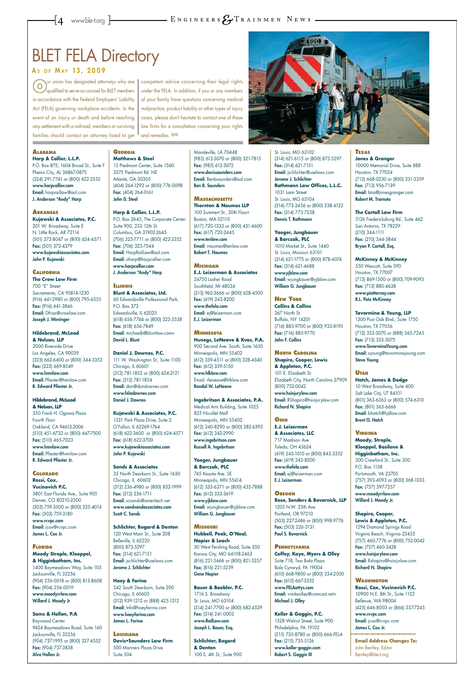### **BLET FELA Directory**

#### As OF MAY 13, 2009

#### **Alabama Harp & Callier, L.L.P.**

P.O. Box 875; 1604 Broad St., Suite F Phenix City, AL 36867-0875 (324) 291-7741 or (800) 422-3352 www.harpcallier.com Email: harpraillaw@aol.com J. Anderson "Andy" Harp

#### **Arkansas Kujawski & Associates, P.C.** 201 W. Broadway, Suite E N. Little Rock, AR 72114 (501) 372-8047 or (800) 624-4571 Fax: (501) 372-4379 www.kujawskiassociates.com John P. Kujawski

#### **California The Crow Law Firm** 700 "E" Street Sacramento, CA 95814-1230 (916) 441-2980 or (800) 795-6555 Fax: (916) 441-3846 Email: Dfrias@crowlaw.com

Joseph J. Weninger

#### **Hildebrand, McLeod & Nelson, LLP** 2000 Riverside Drive Los Angeles, CA 90039 (323) 662-6400 or (800) 344-3352 Fax: (323) 669-8549 www.hmnlaw.com Email: Pfiester@hmnlaw.com

R. Edward Pfiester Jr.

#### **Hildebrand, McLeod & Nelson, LLP**

350 Frank H. Ogawa Plaza Fourth Floor Oakland, CA 94612-2006 (510) 451-6732 or (800) 447-7500 Fax: (510) 465-7023 www.hmnlaw.com Email: Pfiester@hmnlaw.com R. Edward Pfiester Jr.

#### **Colorado Rossi, Cox, Vucinovich P.C.**  3801 East Florida Ave., Suite 905 Denver, CO 80210-2500

(303) 759-3500 or (800) 325-4014 Fax: (303) 759-3180 www.rcvpc.com Email: jcox@rcvpc.com James L. Cox Jr.

#### **Florida Moody Strople, Kloeppel, & Higginbotham, Inc.**

1400 Baymeadows Way, Suite 105 Jacksonville, FL 32256 (904) 256-0018 or (800) 813-8608 Fax: (904) 256-0019 www.moodyrrlaw.com Willard J. Moody Jr.

#### **Sams & Hollon, P.A**. Baywood Center

9424 Baymeadows Road, Suite 160 Jacksonville, FL 32256 (904) 737-1995 or (800) 327-4552 Fax: (904) 737-3838 Alva Hollon Jr.

#### **Georgia Matthews & Steel**

15 Piedmont Center, Suite 1560 3575 Piedmont Rd. NE Atlanta, GA 30305 (404) 264-1292 or (800) 776-0098 Fax: (404) 264-0161 John D. Steel

**Harp & Callier, L.L.P.** P.O. Box 2645, The Corporate Center Suite 900, 233 12th St. Columbus, GA 31902-2645 (706) 323-7711 or (800) 422-3352 Fax: (706) 323-7544 Email: HarpRailLaw@aol.com Email: aharp@harpcallier.com www.harpcallier.com J. Anderson "Andy" Harp

#### **Illinois Blunt & Associates, Ltd.**  60 Edwardsville Professional Park, P.O. Box 373 Edwardsville, IL 62025 (618) 656-7744 or (800) 323-5538 Fax: (618) 656-7849 Email: michaelb@bluntlaw.com>

David L. Blunt

#### **Daniel J. Downes, P.C.**  111 W. Washington St., Suite 1100 Chicago, IL 60601 (312) 781-1852 or (800) 624-2121 Fax: (312) 781-1854 Email: dan@dandownes.com www.feladownes.com Daniel J. Downes

**Kujawski & Associates, P.C.** 1331 Park Plaza Drive, Suite 2 O'Fallon, IL 62269-1764 (618) 622-3600 or (800) 624-4571 Fax: (618) 622-3700 www.kujawskiassociates.com John P. Kujawski

#### **Sands & Associates**

33 North Dearborn St., Suite 1630 Chicago, IL 60602 (312) 236-4980 or (800) 832-1999 Fax: (312) 236-1711 Email: scsands@ameritech.net

www.sandsandassociates.com Scott C. Sands

#### **Schlichter, Bogard & Denton** 120 West Main St., Suite 208

Belleville, IL 62220 (800) 873-5297 Fax: (314) 621-7151 Email: jschlichter@uselaws.com Jerome J. Schlichter

#### **Hoey & Farina**

542 South Dearborn, Suite 200 Chicago, IL 60605 (312) 939-1212 or (888) 425-1212 Email: Info@hoeyfarina.com www.hoeyfarina.com James L. Farina

> Fax: (215) 735-5126 www.keller-goggin.com Robert S. Goggin III

#### **Louisiana**

**Davis•Saunders Law Firm** 500 Mariners Plaza Drive Suite 504

Mandeville, LA 70448 (985) 612-3070 or (800) 321-7815 Fax: (985) 612-3072 www.davissaunders.com Email: Benbsaunders@aol.com Ben B. Saunders

**Massachusetts Thornton & Naumes LLP**  100 Summert St., 30th Floort Boston, MA 02110 (617) 720-1333 or (800) 431-4600 Fax: (617) 720-2445 www.tenlaw.com Email: rnaumes@tenlaw.com Robert T. Naumes

#### **Michigan**

**E.J. Leizerman & Associates** 24750 Lasher Road Southfield, MI 48034 (313) 962-3666 or (800) 628-4500 Fax: (419) 243-8200 www.thefela.com Email: ej@leizerman.com E.J. Leizerman

#### **Minnesota**

**Hunegs, LeNeave & Kvas, P.A.** 900 Second Ave. South, Suite 1650 Minneapolis, MN 55402 (612) 339-4511 or (800) 328-4340 Fax: (612) 339-5150 www.hlklaw.com Email: rleneave@hlklaw.com Randal W. LeNeave

**Ingebritson & Associates, P.A.** Medical Arts Building, Suite 1025 825 Nicollet Mall Minneapolis, MN 55402 (612) 340-8290 or (800) 282-6393 Fax: (612) 342-2990 www.ingebritson.com Russell A. Ingebritson

competent advice concerning their legal rights under the FELA. In addition, if you or any members of your family have questions concerning medical malpractice, product liability or other types of injury cases, please don't hesitate to contact one of these law firms for a consultation concerning your rights and remedies. @



**Yaeger, Jungbauer & Barczak, PLC** 745 Kasota Ave. SE Minneapolis, MN 55414 (612) 333-6371 or (800) 435-7888 Fax: (612) 333-3619 www.yjblaw.com

Email: wjungbauer@yjblaw.com William G. Jungbauer

#### **Missouri**

**Hubbell, Peak, O'Neal, Napier & Leach** 30 West Pershing Road, Suite 350 Kansas City, MO 64108-2463 (816) 221-5666 or (800) 821-5257 Fax: (816) 221-5259 Gene Napier

#### **Bauer & Baebler, P.C.**

1716 S. Broadway St. Louis, MO 63104 (314) 241-7700 or (800) 682-4529 Fax: (314) 241-0003 www.RailLaw.com Joseph L. Bauer, Esq.

**Schlichter, Bogard & Denton** 100 S. 4th St., Suite 900

St. Louis, MO 63102 (314) 621-6115 or (800) 873-5297 Fax: (314) 621-7151 Email: jschlichter@uselaws.com Jerome J. Schlichter **Rathmann Law Offices, L.L.C.** 1031 Lami Street St. Louis, MO 63104 (314) 773-3456 or (800) 238-4122 Fax: (314) 773-7238 Dennis T. Rathmann

**Yaeger, Jungbauer & Barczak, PLC** 1010 Market St., Suite 1440 St. Louis, Missouri 63101 (314) 621-1775 or (800) 878-4074 Fax: (314) 621-4688 www.yjblaw.com Email: wjungbauer@yjblaw.com William G. Jungbauer

#### **New York**

**Collins & Collins** 267 North St. Buffalo, NY 14201 (716) 885-9700 or (800) 933-8195 Fax: (716) 885-9770 John F. Collins

#### **North Carolina Shapiro, Cooper, Lewis**

**& Appleton, P.C.** 101 E. Elizabeth St. Elizabeth City, North Carolina 27909 (800) 752-0042 www.hsinjurylaw.com Email: RShapiro@hsinjurylaw.com Richard N. Shapiro

#### **Ohio**

**E.J. Leizerman & Associates, LLC** 717 Madison Ave. Toledo, OH 43624 (419) 243-1010 or (800) 843-3352 Fax: (419) 243-8200 www.thefela.com Email: ej@leizerman.com E.J. Leizerman

**Oregon Rose, Senders & Bovarnick, LLP**

#### 1205 N.W. 25th Ave. Portland, OR 97210 (503) 227-2486 or (800) 998-9776 Fax: (503) 226-3131 Paul S. Bovarnick

**Pennsylvania Coffey, Kaye, Myers & Olley** Suite 718, Two Bala Plaza Bala Cynwyd, PA 19004 (610) 668-9800 or (800) 334-2500 Fax: (610) 667-3352 www.FELAattys.com Email: <mikeolley@comcast.net> Michael J. Olley

#### **Keller & Goggin, P.C.** 1528 Walnut Street, Suite 900 Philadelphia, PA 19102 (215) 735-8780 or (800) 666-FELA

#### **Texas Jones & Granger**

10000 Memorial Drive, Suite 888 Houston, TX 77024 (713) 668-0230 or (800) 231-3359 Fax: (713) 956-7139 Email: btra@jonesgranger.com Robert M. Tramuto

#### **The Cartall Law Firm** 5126 Fredericksburg Rd., Suite 462 San Antonio, TX 78229 (210) 344-1111 Fax: (210) 344-5844 Bryan P. Cartall, Esq.

#### **McKinney & McKinney**

550 Wescott, Suite 590 Houston, TX 77007 (713) 869-1500 or (800) 709-9093 Fax: (713) 880-4638 www.piattorney.com R.L. Pete McKinney

#### **Tavormina & Young, LLP**

1300 Post Oak Blvd., Suite 1750 Houston, TX 77056 (713) 333-3070 or (888) 565-7245 Fax: (713) 333-3075 www.TavorminaYoung.com Email: syoung@tavorminayoung.com Steve Young

#### **Utah**

**Hatch, James & Dodge** 10 West Broadway, Suite 400 Salt Lake City, UT 84101 (801) 363-6363 or (800) 574-6310 Fax: (801) 363-6666 Email: bhatch@hjdlaw.com Brent O. Hatch

**Virginia Moody, Strople, Kloeppel, Basilone & Higginbotham, Inc.** 500 Crawford St., Suite 300 P.O. Box 1138 Portsmouth, VA 23705 (757) 393-4093 or (800) 368-1033 Fax: (757) 397-7257 www.moodyrrlaw.com Willard J. Moody Jr.

#### **Shapiro, Cooper, Lewis & Appleton, P.C.**

1294 Diamond Springs Road Virginia Beach, Virginia 23455 (757) 460-7776 or (800) 752-0042 Fax: (757) 460-3428 www.hsinjurylaw.com Email: Rshapiro@hsinjurlaw.com Richard N. Shapiro

#### **Washington Rossi, Cox, Vucinovich P.C.**  10900 N.E. 8th St., Suite 1122 Bellevue, WA 98004 (425) 646-8003 or (866) 357-7245 www.rcvpc.com Email: jcox@rcvpc.com James L. Cox Jr.

**Email Address Changes To:**  John Bentley, Editor Bentley@ble-t.org

ur union has designated attorneys who are  $\bigcirc$ qualified to serve as counsel for BLET members in accordance with the Federal Employers' Liability Act (FELA) governing workplace accidents. In the event of an injury or death and before reaching any settlement with a railroad, members or surviving families should contact an attorney listed to get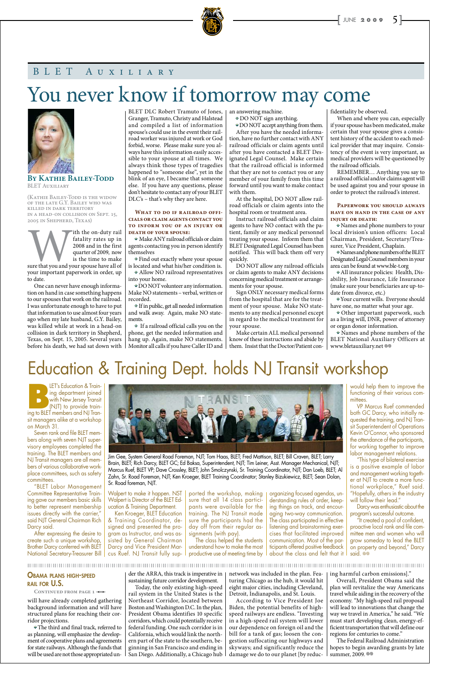**BY KATHIE BAILEY-TODD** BLET Auxiliary

(Kathie Bailey-Todd is the widow of the late G.Y. Bailey who was killed in dark territory in a head-on collision on Sept. 15, 2005 in Shepherd, Texas)

Fith the on-duty rail<br>
fatality rates up in<br>
2008 and in the first<br>
quarter of 2009, now<br>
is the time to make<br>
sure that you and your spouse have all of<br>
your important paperwork in order up fatality rates up in 2008 and in the first quarter of 2009, now is the time to make your important paperwork in order, up to date.

One can never have enough information on hand in case something happens to our spouses that work on the railroad. I was unfortunate enough to have to put that information to use almost four years ago when my late husband, G.Y. Bailey, was killed while at work in a head-on collision in dark territory in Shepherd, Texas, on Sept. 15, 2005. Several years before his death, we had sat down with BLET DLC Robert Tramuto of Jones,  $\vert$ Granger, Tramuto, Christy and Halstead and compiled a list of information spouse's could use in the event their railroad worker was injured at work or God forbid, worse. Please make sure you always have this information easily accessible to your spouse at all times. We always think those types of tragedies happened to "someone else", yet in the blink of an eye, I became that someone else. If you have any questions, please don't hesitate to contact any of your BLET DLC's – that's why they are here.

#### WHAT TO DO IF RAILROAD OFFI**cials or claim agents contact you to inform you of an injury or death of your spouse:**

**•** Make ANY railroad officials or claim agents contacting you in person identify themselves

**•** Find out exactly where your spouse is located and what his/her condition is. **•** Allow NO railroad representatives into your home.

**•** DO NOT volunteer any information. Make NO statements – verbal, written or recorded.

**•** If in public, get all needed information and walk away. Again, make NO statements.

**•** If a railroad official calls you on the phone, get the needed information and hang up. Again, make NO statements. Monitor all calls if you have Caller ID and

an answering machine.

**•** DO NOT sign anything.

**•** DO NOT accept anything from them.

**•** Names and phone numbers of the BLET National Auxiliary Officers at www.bletauxiliary.net @

After you have the needed information, have no further contact with ANY railroad officials or claim agents until after you have contacted a BLET Designated Legal Counsel. Make certain that the railroad official is informed that they are not to contact you or any member of your family from this time forward until you want to make contact with them.

**BLET's Education & Train-**<br>
ing department joined<br>
with New Jersey Transit<br>
(NJT) to provide train-<br>
ing to BIFT members and NI Traning department joined with New Jersey Transit (NJT) to provide training to BLET members and NJ Transit managers alike at a workshop on March 31.

At the hospital, DO NOT allow railroad officials or claim agents into the hospital room or treatment area.

Instruct railroad officials and claim agents to have NO contact with the patient, family or any medical personnel treating your spouse. Inform them that BLET Designated Legal Counsel has been notified. This will back them off very quickly.

DO NOT allow any railroad officials or claim agents to make ANY decisions concerning medical treatment or arrangements for your spouse.

Sign ONLY necessary medical forms from the hospital that are for the treatment of your spouse. Make NO statements to any medical personnel except in regard to the medical treatment for your spouse.

Walpert is Director ot the BLET Ed- | sure that all 14 class partici- | derstanding rules ot order, keeping things on track, and encouraging two-way communication. The class participated in effective listening and brainstorming exercises that facilitated improved communication. Most of the participants offered positive feedback about the class and felt that it

Make certain ALL medical personnel know of these instructions and abide by them. Insist that the Doctor/Patient confidentiality be observed.

"It created a pool of confident, proactive local rank and file committee men and women who will grow someday to lead the BLET on property and beyond," Darcy said. @

#### 

When and where you can, especially if your spouse has been medicated, make certain that your spouse gives a consistent history of the accident to each medical provider that may inquire. Consistency of the event is very important, as medical providers will be questioned by the railroad officials.

REMEMBER… Anything you say to a railroad official and/or claims agent will be used against you and your spouse in order to protect the railroad's interest.

#### **Paperwork you should always have on hand in the case of any injury or death:**

**•** Names and phone numbers to your local division's union officers: Local Chairman, President, Secretary/Treasurer, Vice President, Chaplain.

**•** Names and phone numbers of the BLET Designated Legal Counsel members in your area can be found at www.ble-t.org

**•** All insurance policies: Health, Disability, Job Insurance, Life Insurance (make sure your beneficiaries are up-todate from divorce, etc.)

**•** Your current wills. Everyone should have one, no matter what your age.

**•** Other important paperwork, such as a living will, DNR, power of attorney or organ donor information.

## You never know if tomorrow may come



### BLET Auxiliary

The Federal Railroad Administration hopes to begin awarding grants by late summer, 2009. ®

Seven rank and file BLET members along with seven NJT supervisory employees completed the training. The BLET members and NJ Transit managers are all members of various collaborative workplace committees, such as safety committees.

"BLET Labor Management Committee Representative Training gave our members basic skills to better represent membership issues directly with the carrier," said NJT General Chairman Rich Darcy said. After expressing the desire to create such a unique workshop, Brother Darcy conferred with BLET National Secretary-Treasurer Bill

ucation & Training Department.

Ken Kroeger, BLET Education & Training Coordinator, designed and presented the program as Instructor, and was assisted by General Chairman Darcy and Vice President Marcus Ruef. NJ Transit fully sup-

pants were available for the training. The NJ Transit made sure the participants had the day off from their regular assignments (with pay).

The class helped the students understand how to make the most productive use of meeting time by

would help them to improve the functioning of their various committees.

VP Marcus Ruef commended both GC Darcy, who initially requested the training, and NJ Transit Superintendent of Operations Kevin O'Connor, who sponsored the attendance of the participants, for working together to improve labor management relations.

"This type of bilateral exercise is a positive example of labor and management working together at NJT to create a more functional workplace," Ruef said. "Hopefully, others in the industry will follow their lead."

Darcy was enthusiastic about the program's successful outcome.

## Education & Training Dept. holds NJ Transit workshop



Jim Gee, System General Road Foreman, NJT; Tom Haas, BLET; Fred Mattison, BLET; Bill Craven, BLET; Larry Brain, BLET; Rich Darcy, BLET GC; Ed Baksa, Superintendent, NJT; Tim Leiner, Asst. Manager Mechanical, NJT; Marcus Ruef, BLET VP; Dave Crossley, BLET; John Smolczynski, Sr. Training Coordinator, NJT; Dan Loeb, BLET; Al Zahn, Sr. Road Foreman, NJT; Ken Kroeger, BLET Training Coordinator; Stanley Bizukiewicz, BLET; Sean Dolan, Sr. Road foreman, NJT.

Walpert to make it happen. NST | ported the workshop, making | organizing tocused agendas, un-

will have already completed gathering background information and will have structured plans for reaching their corridor projections.

**•** The third and final track, referred to as planning, will emphasize the development of cooperative plans and agreements for state railways. Although the funds that will be used are not those appropriated un-

der the ARRA, this track is imperative in sustaining future corridor development.

Today, the only existing high-speed rail system in the United States is the Northeast Corridor, located between Boston and Washington D.C. In the plan, President Obama identifies 10 specific corridors, which could potentially receive federal funding. One such corridor is in California, which would link the northern part of the state to the southern, beginning in San Francisco and ending in San Diego. Additionally, a Chicago hub

network was included in the plan. Featuring Chicago as the hub, it would hit eight major cities, including Cleveland, Detroit, Indianapolis, and St. Louis.

According to Vice President Joe Biden, the potential benefits of highspeed railways are endless. "Investing in a high-speed rail system will lower our dependence on foreign oil and the bill for a tank of gas; loosen the congestion suffocating our highways and skyways; and significantly reduce the damage we do to our planet [by reduc-

ing harmful carbon emissions]."

Overall, President Obama said the plan will revitalize the way Americans travel while aiding in the recovery of the economy. "My high-speed rail proposal will lead to innovations that change the way we travel in America," he said. "We must start developing clean, energy-efficient transportation that will define our regions for centuries to come."

#### Obama plans high-speed rail for U.S.

CONTINUED FROM PAGE 1 -0-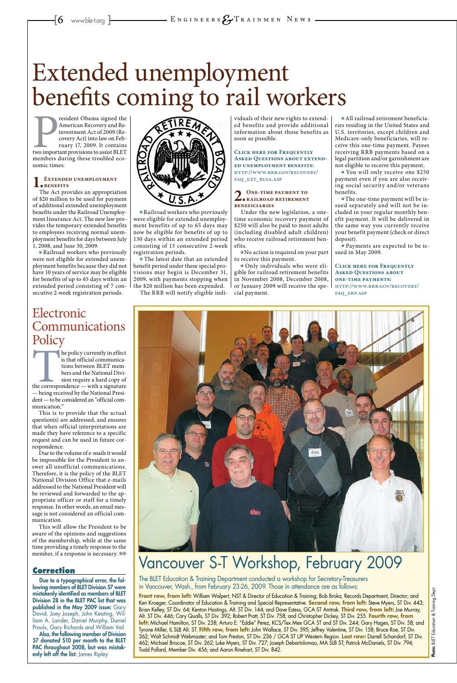resident Obama signed the<br>American Recovery and Re-<br>investment Act of 2009 (Re-<br>covery Act) into law on Feb-<br>ruary 17, 2009. It contains<br>two important provisions to assist BLET<br>members during these troubled ecoresident Obama signed the American Recovery and Reinvestment Act of 2009 (Recovery Act) into law on February 17, 2009. It contains members during these troubled economic times:

#### EXTENDED UNEMPLOYMENT **benefits**

The Act provides an appropriation of \$20 million to be used for payment of additional extended unemployment benefits under the Railroad Unemployment Insurance Act. The new law provides the temporary extended benefits to employees receiving normal unemployment benefits for days between July 1, 2008, and June 30, 2009.

**•** Railroad workers who previously were not eligible for extended unemployment benefits because they did not have 10 years of service may be eligible for benefits of up to 65 days within an extended period consisting of 7 consecutive 2-week registration periods.



**•** Railroad workers who previously were eligible for extended unemployment benefits of up to 65 days may now be eligible for benefits of up to 130 days within an extended period consisting of 13 consecutive 2-week registration periods.

**•** The latest date that an extended benefit period under these special provisions may begin is December 31, 2009, with payments stopping when the \$20 million has been expended.

The RRB will notify eligible indi-

viduals of their new rights to extended benefits and provide additional information about those benefits as soon as possible.

**Click here for Frequently Asked Questions about extended unemployment benefits:** http://www.rrb.gov/recovery/ faq\_ext\_ruia.asp

### **2.One-time payment to railroad retirement beneficiaries**

Under the new legislation, a onetime economic recovery payment of \$250 will also be paid to most adults (including disabled adult children) who receive railroad retirement benefits.

**•** No action is required on your part to receive this payment.

### Electronic Communications **Policy**

**•** Only individuals who were eligible for railroad retirement benefits in November 2008, December 2008, or January 2009 will receive the special payment.

the policy currently in effect<br>
is that official communica-<br>
tions between BLET mem-<br>
bers and the National Divi-<br>
sion require a hard copy of<br>
the correspondence — with a signature<br>
— being received by the National Presiis that official communications between BLET members and the National Division require a hard copy of — being received by the National President — to be considered an "official communication."

**•** All railroad retirement beneficiaries residing in the United States and U.S. territories, except children and Medicare-only beneficiaries, will receive this one-time payment. Payees receiving RRB payments based on a legal partition and/or garnishment are not eligible to receive this payment.

Due to the volume of e-mails it would be impossible for the President to answer all unofficial communications. Therefore, it is the policy of the BLET National Division Office that e-mails addressed to the National President will be reviewed and forwarded to the appropriate officer or staff for a timely response. In other words, an email message is not considered an official communication. This will allow the President to be aware of the opinions and suggestions of the membership, while at the same time providing a timely response to the member, if a response is necessary.  $\circledcirc$ 



**•** You will only receive one \$250 payment even if you are also receiving social security and/or veterans benefits.

The BLET Education & Training Department conducted a workshop for Secretary-Treasurers Due to a typographical error, the fole and the BLET Education & Training Department conducted a workshop for Secretary-Treasure in Mancouver, Wash., from February 23-26, 2009. Those in attendance are as follows:

**•** The one-time payment will be issued separately and will not be included in your regular monthly benefit payment. It will be delivered in the same way you currently receive your benefit payment (check or direct deposit).

lowing members of BLET Division 57 were mistakenly identified as members of BLET Division 28 in the BLET PAC list that was published in the May 2009 issue: Gary David, Joey Joseph, John Keating, William A. Lander, Daniel Murphy, Daniel Proulx, Gary Richards and William Vail Also, the following member of Division 57 donated \$10 per month to the BLET PAC throughout 2008, but was mistakenly left off the list: James Ripley

**•** Payments are expected to be issued in May 2009.

**Click here for Frequently Asked Questions about one-time payments:** http://www.rrb.gov/recovery/ faq\_erp.asp

# Extended unemployment benefits coming to rail workers

**Front row, from left:** William Walpert, NST & Director of Education & Training; Bob Broka, Records Department, Director; and Ken Kroeger, Coordinator of Education & Training and Special Representative. **Second row, from left:** Steve Myers, ST Div. 443; Brian Kelley, ST Div. 64; Kenton Hastings, Alt. ST Div. 144; and Dave Estess, GCA ST Amtrak. **Third row, from left:** Joe Murray, Alt. ST Div. 446; Cary Qualls, ST Div. 392; Robert Pratt, ST Div. 758; and Christopher Dickey, ST Div. 255. **Fourth row, from**  left: Michael Hamilton, ST Div. 238; Arturo E. "Eddie" Perez, KCS/Tex Mex GCA ST and ST Div. 244; Gary Hages, ST Div. 58; and Tyrone Miller, IL SLB Alt. ST. **Fifth row, from left:** John Wallace, ST Div. 595; Jeffrey Valentine, ST Div. 158; Bruce Roe, ST Div. 362; Walt Schmidt Webmaster; and Tom Preston, ST Div. 236 / GCA ST UP Western Region. **Last row:** Darrell Schandorf, ST Div. 462; Michael Briscoe, ST Div. 262; Luke Myers, ST Div. 727; Joseph Debartolomao, MA SLB ST; Patrick McDaniels, ST Div. 794; Todd Pollard, Member Div. 456; and Aaron Rinehart, ST Div. 842.

This is to provide that the actual question(s) are addressed, and ensures that when official interpretations are made they have reference to a specific request and can be used in future correspondence.

### Vancouver S-T Workshop, February 2009

#### **Correction**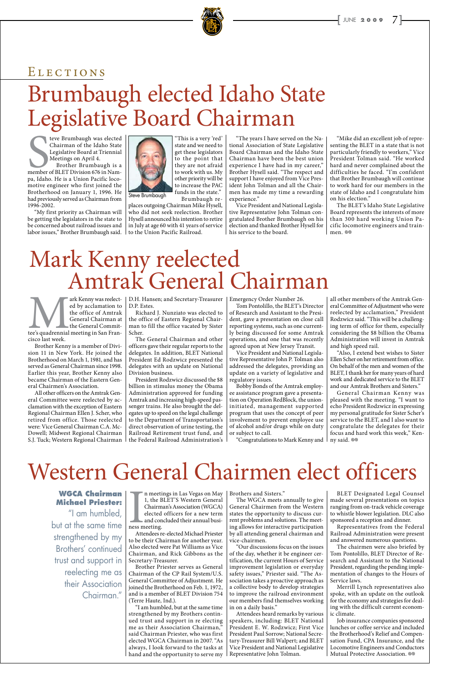Eve Brumbaugh was elected<br>
Chairman of the Idaho State<br>
Legislative Board at Triennial<br>
Meetings on April 4.<br>
Brother Brumbaugh is a<br>
member of BLET Division 676 in Nam-<br>
pa Idaho He is a Union Pacific locoteve Brumbaugh was elected Chairman of the Idaho State Legislative Board at Triennial Meetings on April 4.

Brother Brumbaugh is a pa, Idaho. He is a Union Pacific locomotive engineer who first joined the Brotherhood on January 1, 1996. He had previously served as Chairman from 1996-2002.

"My first priority as Chairman will be getting the legislators in the state to be concerned about railroad issues and labor issues," Brother Brumbaugh said.



places outgoing Chairman Mike Hysell, who did not seek reelection. Brother Hysell announced his intention to retire in July at age 60 with 41 years of service to the Union Pacific Railroad.

The BLET's Idaho State Legislative Board represents the interests of more than 300 hard working Union Pacific locomotive engineers and trainmen. ®

## Brumbaugh elected Idaho State Legislative Board Chairman ELECTIONS

"The years I have served on the National Association of State Legislative Board Chairman and the Idaho State Chairman have been the best union experience I have had in my career," Brother Hysell said. "The respect and support I have enjoyed from Vice President John Tolman and all the Chairmen has made my time a rewarding experience."

ark Kenny was reelected by acclamation to<br>the office of Amtrak<br>General Chairman at<br>the General Commit-<br>tee's quadrennial meeting in San Fran-<br>cisco last week ed by acclamation to the office of Amtrak General Chairman at the General Commitcisco last week.

get these legislators to the point that they are not afraid to work with us. My other priority will be to increase the PAC funds in the state." Brumbaugh re-Steve Brumbaugh

> Vice President and National Legislative Representative John Tolman congratulated Brother Brumbaugh on his election and thanked Brother Hysell for his service to the board.

"Mike did an excellent job of representing the BLET in a state that is not particularly friendly to workers," Vice President Tolman said. "He worked hard and never complained about the difficulties he faced. "I'm confident that Brother Brumbaugh will continue to work hard for our members in the state of Idaho and I congratulate him on his election."

Brother Kenny is a member of Division 11 in New York. He joined the Brotherhood on March 1, 1981, and has served as General Chairman since 1998. Earlier this year, Brother Kenny also became Chairman of the Eastern General Chairmen's Association.

> General Chairman Kenny was pleased with the meeting. "I want to echo President Rodzwicz in expressing my personal gratitude for Sister Scher's service to the BLET, and I also want to congratulate the delegates for their focus and hard work this week," Kenny said.  $\otimes$

All other officers on the Amtrak General Committee were reelected by acclamation with the exception of Eastern Regional Chairman Ellen J. Scher, who retired from office. Those reelected were: Vice General Chairman C.A. Mc-Dowell; Midwest Regional Chairman S.J. Tuck; Western Regional Chairman

D.H. Hansen; and Secretary-Treasurer D.P. Estes.

Richard J. Nunziato was elected to the office of Eastern Regional Chairman to fill the office vacated by Sister Scher.

I, the BLET'S Western General<br>
Chairman's Association (WGCA)<br>
Chairman's Association (WGCA)<br>
deneral Chairmen free elected officers for a new term<br>
and concluded their annual busi-<br>
ness meeting.<br>
Attendees re-elected Mich Chairman's Association (WGCA) elected officers for a new term and concluded their annual business meeting. Attendees re-elected Michael Priester to be their Chairman for another year. Also elected were Pat Williams as Vice Chairman, and Rick Gibbons as the Secretary-Treasurer. Brother Priester serves as General Chairman of the CP Rail System/U.S. General Committee of Adjustment. He joined the Brotherhood on Feb. 1, 1972, and is a member of BLET Division 754 (Terre Haute, Ind.). "I am humbled, but at the same time strengthened by my Brothers continued trust and support in re electing me as their Association Chairman," said Chairman Priester, who was first elected WGCA Chairman in 2007. "As always, I look forward to the tasks at hand and the opportunity to serve my

The General Chairman and other officers gave their regular reports to the delegates. In addition, BLET National President Ed Rodzwicz presented the delegates with an update on National Division business.

President Rodzwicz discussed the \$8 billion in stimulus money the Obama Administration approved for funding Amtrak and increasing high-speed passenger trains. He also brought the delegates up to speed on the legal challenge to the Department of Transportation's direct observation of urine testing, the Railroad Retirement trust fund, and the Federal Railroad Administration's

> 1, the BLET'S Western General | The WGCA meets annually to give | made several presentations on topics General Chairmen from the Western states the opportunity to discuss current problems and solutions. The meeting allows for interactive participation by all attending general chairman and vice-chairmen. "Our discussions focus on the issues of the day, whether it be engineer certification, the current Hours of Service improvement legislation or everyday safety issues," Priester said. "The Association takes a proactive approach as a collective body to develop strategies to improve the railroad environment our members find themselves working in on a daily basis." Attendees heard remarks by various speakers, including: BLET National President E. W. Rodzwicz; First Vice President Paul Sorrow; National Secretary-Treasurer Bill Walpert; and BLET Vice President and National Legislative Representative John Tolman.

Emergency Order Number 26.

Tom Pontolillo, the BLET's Director of Research and Assistant to the President, gave a presentation on close call reporting systems, such as one currently being discussed for some Amtrak operations, and one that was recently agreed upon at New Jersey Transit.

> Job insurance companies sponsored lunches or coffee service and included the Brotherhood's Relief and Compensation Fund, CPA Insurance, and the Locomotive Engineers and Conductors Mutual Protective Association. @

Vice President and National Legislative Representative John P. Tolman also addressed the delegates, providing an update on a variety of legislative and regulatory issues.

Bobby Bonds of the Amtrak employee assistance program gave a presentation on Operation RedBlock, the unioninitiated, management supported program that uses the concept of peer involvement to prevent employee use of alcohol and/or drugs while on duty or subject to call.

"Congratulations to Mark Kenny and

all other members of the Amtrak General Committee of Adjustment who were reelected by acclamation," President Rodzwicz said. "This will be a challenging term of office for them, especially considering the \$8 billion the Obama Administration will invest in Amtrak and high speed rail.

"Also, I extend best wishes to Sister Ellen Scher on her retirement from office. On behalf of the men and women of the BLET, I thank her for many years of hard work and dedicated service to the BLET and our Amtrak Brothers and Sisters."

## Mark Kenny reelected Amtrak General Chairman

BLET Designated Legal Counsel ranging from on-track vehicle coverage to whistle blower legislation. DLC also sponsored a reception and dinner. Representatives from the Federal Railroad Administration were present and answered numerous questions. The chairmen were also briefed by Tom Pontolillo, BLET Director of Research and Assistant to the National President, regarding the pending implementation of changes to the Hours of Service laws.

Merrill Lynch representatives also spoke, with an update on the outlook for the economy and strategies for dealing with the difficult current economic climate.

## Western General Chairmen elect officers

**WGCA Chairman** 

#### **Michael Priester:**

"I am humbled, but at the same time strengthened by my Brothers' continued trust and support in reelecting me as their Association Chairman."